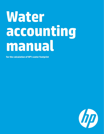# **Water accounting manual**

**for the calculation of HP's water footprint**

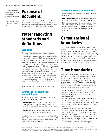- • Purpose of [document](#page-1-0)
- • Water reporting [standards](#page-1-1) and [definitions](#page-1-1)
- • [Organizational](#page-1-2) boundaries

• Time [boundaries](#page-1-3) Calculation [methodology](#page-2-0) Method [maintenance](#page-4-0) Record [retention](#page-4-1)

## <span id="page-1-0"></span>**Purpose of document**

This document outlines the method to calculate Hewlett-Packard's (HP) water footprint, as defined in the Water reporting standards and definitions section below, and as communicated in HP's Living [Progress](http://h20195.www2.hp.com/V2/GetDocument.aspx?docname=4AA5-2728ENW&cc=us&lc=en) Report (LPR).

## <span id="page-1-1"></span>**Water reporting standards and definitions**

## **Standards**

HP's water calculation method is designed to clearly communicate how water is used across the company's operations, products and supply chain. The method draws on some of the concepts expressed in the globally-recognized corporate water footprint standard developed by the Water Footprint Network (WFN). This standard is described in detail in WFN's The Water Footprint [Assessment](http://www.waterfootprint.org/downloads/TheWaterFootprintAssessmentManual.pdf) Manual: Setting the global [standard,](http://www.waterfootprint.org/downloads/TheWaterFootprintAssessmentManual.pdf) 2011. HP's methodology also uses principles derived from generally accepted financial accounting and reporting principles, including relevance, completeness, consistency, transparency and accuracy. However, HP's method is fundamentally its own because HP aims to communicate water used to produce energy across the value chain, a concept that the WFN does not emphasize. HP recognizes that, as a result, its water footprint may not be fully comparable with that of other companies at the present time.

HP reports water consumption in cubic meters ( $m<sup>3</sup>$ ).

## **Definitions – Consumption and withdrawal**

HP's methodology utilizes definitions provided by the United States [Geological](http://water.usgs.gov/wsc/glossary.html) Survey:

- • **Consumption**-Water that has been permanently removed from the immediate water environment through processes such as evaporation, transpiration or incorporation into products or crops
- • **Withdrawal**-Water that has been diverted or withdrawn from a surface water or groundwater source

For all categories of the water footprint except operations, HP reports consumption. For its own direct operations, HP reports all water withdrawn from municipal sources for use in its operations as consumed.

## **Definitions – Direct and indirect**

HP's methodology includes two key categories of water consumption:

- **Direct consumption**-Water consumed in (1) HP's own operations, or (2) in the operations of HP's suppliers.
- **· Indirect consumption**-Water consumed by activities needed to produce: (1) electricity for HP's operations or those of its suppliers, (2) electricity to power HP's products, and (3) paper for use with HP's printing products.1

## <span id="page-1-2"></span>**Organizational boundaries**

HP calculates the water footprint for all sites within its operational control.2 HP also models the water footprint for the production supply chain and product use phases of its value chain. HP does not model its non-production supply chain at this time. Regarding the product use phase, HP includes in its scope all devices sold by HP in the reporting year (i.e., it captures the estimated future life of those products), or devices owned by HP and operated on behalf of enterprise customers in the reporting year.

# <span id="page-1-3"></span>**Time boundaries**

HP accounts for and reports water consumed to produce and use the HP products shipped within the applicable reporting year on a fiscal year basis: November 1st through October 31st. The first year that HP reported its water footprint in the LPR was in the fiscal year 2013 (FY13) report. However, the actual data used in the calculations is from the previous fiscal year (FY12).HP accounts for water consumption at the following points:

- Occurs simultaneously with the activity (for example, the water used to generate electricity for HP manufacturing sites) and is reported in the period when the activity occurred
- May have occurred in previous periods (for example, the water used to produce goods purchased by HP to produce a product sold in the current period) but is reported in the current period because product sale occurs in the current period
- • Is expected to occur in future years because the activities in the reporting year have long-term water consumption impacts (for example, the water that will be used to generate electricity for an HP product that has not yet reached the end consumer). In this case, the consumption reported in the current period has not yet occurred, but is expected to occur in the future as a result of the products sold in the reporting period.

<sup>1</sup> Product-use electricity consumption and paper use were identified as the most material impacts in the product use phase of the value chain based on HP's Scope 3 greenhouse gas emissions footprint and lifecycle assessment (LCA) data from the American Forest & Paper Association and the Forest Products Association of Canada.

<sup>2</sup> Operational control is defined as sites listed in HP's global real estate database that are owned or leased by HP, or by a joint venture in which HP has at least a 50% share. It does not include sites owned or leased by HP employees for telecommuting (e.g., residences for telecommuting employees).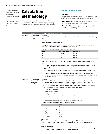Purpose of [document](#page-1-0) Water reporting [standards](#page-1-1) and [definitions](#page-1-1) [Organizational](#page-1-2) boundaries Time [boundaries](#page-1-3)

• Calculation [methodology](#page-2-0) Method [maintenance](#page-4-0) Record [retention](#page-4-1)

## <span id="page-2-0"></span>**Calculation methodology**

The tables below provide specific information on data collection and estimation methodologies, including assumptions, for each category of the water footprint.

## **Direct consumption**

#### **Overview**

HP reports direct consumption for its own operations and direct consumption for the operations of its suppliers.

- • **Operations**-Direct consumption for operations is based on meter readings as well as estimates
- • **Suppliers**-Direct consumption for suppliers is estimated with EIO-LCA modeling.

| <b>Type</b>       | <b>Boundary</b>                                                     | Inputs, methodology and assumptions                                                                                                                                                                                                                                                                                                                                                                                                                            |                                  |                      |  |
|-------------------|---------------------------------------------------------------------|----------------------------------------------------------------------------------------------------------------------------------------------------------------------------------------------------------------------------------------------------------------------------------------------------------------------------------------------------------------------------------------------------------------------------------------------------------------|----------------------------------|----------------------|--|
| <b>Operations</b> | <b>Facilities within</b><br>HP's operational<br>control             | Input data<br>Input data is based on site meter readings, utility invoices or estimated data using an HP calculated intensity<br>factor.                                                                                                                                                                                                                                                                                                                       |                                  |                      |  |
|                   |                                                                     | For estimations, calculations are based on internal analysis of water consumption intensity (liters per<br>square feet) for each region and facility type.                                                                                                                                                                                                                                                                                                     |                                  |                      |  |
|                   |                                                                     | <b>Facility types include:</b> (1) Operational (primarily data centers and offices), and (2) Vacant. The intensity<br>factor is derived from actual consumption data from comparable sites.                                                                                                                                                                                                                                                                    |                                  |                      |  |
|                   |                                                                     | As of 2013, the six regional facility type intensity factor values are:                                                                                                                                                                                                                                                                                                                                                                                        |                                  |                      |  |
|                   |                                                                     | <b>Region</b>                                                                                                                                                                                                                                                                                                                                                                                                                                                  | <b>Operational factor</b>        | <b>Vacant factor</b> |  |
|                   |                                                                     | AMS                                                                                                                                                                                                                                                                                                                                                                                                                                                            | 25.1 L / $ft2$                   | 8.28 L / $ft^2$      |  |
|                   |                                                                     | APJ                                                                                                                                                                                                                                                                                                                                                                                                                                                            | 24.23 L / ft <sup>2</sup>        | 8.0 L / $ft^2$       |  |
|                   |                                                                     | EMEA                                                                                                                                                                                                                                                                                                                                                                                                                                                           | 14.74 L / $ft^2$                 | 4.86 L / $ft^2$      |  |
|                   |                                                                     | <b>For estimated data</b><br>Direct operations water consumption (L) = Facility area (ft. <sup>2</sup> )* Regional facility type intensity factor (L / ft. <sup>2</sup> )                                                                                                                                                                                                                                                                                      |                                  |                      |  |
|                   |                                                                     | <b>Notes and assumptions</b><br>• Reported data is based on water withdrawn from municipal sources for use in HP's operations. Because<br>all discharges and/or evaporation rates are not tracked, all water in direct operations is assumed to be<br>consumed.                                                                                                                                                                                                |                                  |                      |  |
|                   |                                                                     | . Water used by on-site generators (producing electricity) cannot be separated out from the total. This<br>amount may be double-counted, as the "Indirect Operations Water Consumption" count in Section 4.2<br>below also includes on-site electricity generation. However, on-site generation is a relatively small<br>portion of HP's overall electricity mix. The potential double-count means that HP's water footprint takes<br>a conservative approach. |                                  |                      |  |
| <b>Suppliers</b>  | <b>Facilities within</b><br>HP suppliers'<br>operational<br>control | Input data<br>HP uses an EIO-LCA to estimate water consumption of its suppliers based on the dollar amount HP spends<br>for each sector type. HP uses relevant EIO-LCA factors and updates those based on internal tools that use<br>revenue as a proxy for water consumption to develop HP-specific factors.<br>As of 2013, the EIO-LCA factor values (and the relative shares from non-power generation activities) are:                                     |                                  |                      |  |
|                   |                                                                     | • Device manufacturing: 793 m <sup>3</sup> / \$M (with 31% from non-power generation)                                                                                                                                                                                                                                                                                                                                                                          |                                  |                      |  |
|                   |                                                                     | • Services: 381 m <sup>3</sup> / \$M (40%)                                                                                                                                                                                                                                                                                                                                                                                                                     |                                  |                      |  |
|                   |                                                                     | • Printing: 1565 m <sup>3</sup> / \$M (78%)                                                                                                                                                                                                                                                                                                                                                                                                                    |                                  |                      |  |
|                   |                                                                     | Additional Input data includes:                                                                                                                                                                                                                                                                                                                                                                                                                                |                                  |                      |  |
|                   |                                                                     | • Revenue by business segment (on a fiscal year basis, derived from Form 10-K)                                                                                                                                                                                                                                                                                                                                                                                 |                                  |                      |  |
|                   |                                                                     | . EIO-LCA conversion factors, including the ratio of power generation to non-power generation activities                                                                                                                                                                                                                                                                                                                                                       |                                  |                      |  |
|                   |                                                                     | . Internal adjustment factors to convert between withdrawal and consumption                                                                                                                                                                                                                                                                                                                                                                                    |                                  |                      |  |
|                   |                                                                     | Business segments are mapped to conversion factors as follows:                                                                                                                                                                                                                                                                                                                                                                                                 |                                  |                      |  |
|                   |                                                                     | <b>HP</b> segment                                                                                                                                                                                                                                                                                                                                                                                                                                              | <b>EIO-LCA conversion factor</b> |                      |  |
|                   |                                                                     | Personal Systems                                                                                                                                                                                                                                                                                                                                                                                                                                               | Device manufacturing             |                      |  |
|                   |                                                                     | Servers, Storage, Networking                                                                                                                                                                                                                                                                                                                                                                                                                                   | Device manufacturing             |                      |  |
|                   |                                                                     | <b>Printing Hardware</b>                                                                                                                                                                                                                                                                                                                                                                                                                                       | Printing                         |                      |  |
|                   |                                                                     | <b>Printing Supplies</b>                                                                                                                                                                                                                                                                                                                                                                                                                                       | Device manufacturing             |                      |  |
|                   |                                                                     | <b>Services</b>                                                                                                                                                                                                                                                                                                                                                                                                                                                | <b>Services</b>                  |                      |  |
|                   |                                                                     | Software, HPFS, Investments                                                                                                                                                                                                                                                                                                                                                                                                                                    | <b>Services</b>                  |                      |  |
|                   |                                                                     |                                                                                                                                                                                                                                                                                                                                                                                                                                                                |                                  |                      |  |
|                   |                                                                     | <b>Methodology</b><br>Direct water from suppliers ( $m^3$ ) = Revenue by HP business segment (\$M)* EIO-LCA conversion factor ( $m^3$                                                                                                                                                                                                                                                                                                                          |                                  |                      |  |

#### / \$M)\* proportion derived from non-power generation activities (%)\* conversion factor for withdrawal to consumption.

#### **Notes and assumptions**

• All segments of HP are accounted for in revenue calculations, excluding the "Eliminations of inter-segment net revenue and other" line item (which totalled only \$3.18M in 2012).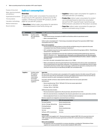Purpose of [document](#page-1-0) Water reporting [standards](#page-1-1) and [definitions](#page-1-1) [Organizational](#page-1-2) boundaries Time [boundaries](#page-1-3) Calculation [methodology](#page-2-0) Method [maintenance](#page-4-0) Record [retention](#page-4-1)

#### **Indirect consumption**

#### **Overview**

HP reports indirect water consumption for production of: (1) electricity for HP's operations, (2) electricity for HP's suppliers, (3) electricity to power HP's products, and (4) paper for use with HP's products.

- **Operations-**Indirect water consumption for operations is estimated based on total facility energy use.
- • **Suppliers**-Indirect water consumption for suppliers is estimated with EIO-LCA modeling.
- • **Product Use**-Indirect water consumption for product use is estimated based on electricity consumption derived from HP's reported Scope 3 greenhouse gas (GHG) emissions calculations for the product use phase.
- • **Paper Use**-Indirect water consumption for paper production is estimated using LCA data.

| <b>Type</b>       | <b>Boundary</b>                                                                                                          | Inputs, methodology and assumptions                                                                                                                                                                                                                                                                                                                                                                                 |                                                                                                                                                                                                                        |  |  |
|-------------------|--------------------------------------------------------------------------------------------------------------------------|---------------------------------------------------------------------------------------------------------------------------------------------------------------------------------------------------------------------------------------------------------------------------------------------------------------------------------------------------------------------------------------------------------------------|------------------------------------------------------------------------------------------------------------------------------------------------------------------------------------------------------------------------|--|--|
| <b>Operations</b> | <b>Facilities within</b><br>HP's operational<br>control                                                                  | Input data<br>• Total annual energy consumption (in kWh) for all facilities within its operational control<br>• Water consumption factor                                                                                                                                                                                                                                                                            |                                                                                                                                                                                                                        |  |  |
|                   |                                                                                                                          | Indirect water consumption ( $m^3$ ) = Total energy consumption (all types) from operations (kWh)* Water<br>consumption factor (m <sup>3</sup> / MWh)                                                                                                                                                                                                                                                               |                                                                                                                                                                                                                        |  |  |
|                   |                                                                                                                          | <b>Notes and assumptions</b><br>The mix of electricity HP purchases is in line with the worldwide energy mix captured in the water •<br>consumption factor (per IEA data cited below"cited below").                                                                                                                                                                                                                 |                                                                                                                                                                                                                        |  |  |
|                   |                                                                                                                          | Outlook 2013", November 2013                                                                                                                                                                                                                                                                                                                                                                                        | . 2011 worldwide energy fuel mix data supplied by the International Energy Agency (IEA) in: "World Energy                                                                                                              |  |  |
|                   |                                                                                                                          | • Average water consumption by fuel type data supplied by the National Renewable Energy Laboratory<br>(NREL) in: Macknick, et al., "Operational water consumption and withdrawal factors for electricity gener-<br>ating technologies: A review of existing literature", Environmental Research Letters, volume 7, number 4:<br>December 2012.                                                                      |                                                                                                                                                                                                                        |  |  |
|                   |                                                                                                                          |                                                                                                                                                                                                                                                                                                                                                                                                                     | • As of 2013, the water consumption factor value is 4.4 $\mathrm{m}^3$ / MWh.                                                                                                                                          |  |  |
|                   |                                                                                                                          | • Water consumption for electricity generated from oil combustion is the same as water consumption for<br>electricity generated from natural gas combustion. This assumption is reasonable given that oil is likely<br>converted to electricity in similar ways to natural gas, and because oil represents a small portion of the<br>total fuel in the electricity mix specified by the NREL fuel consumption data. |                                                                                                                                                                                                                        |  |  |
|                   |                                                                                                                          |                                                                                                                                                                                                                                                                                                                                                                                                                     |                                                                                                                                                                                                                        |  |  |
| <b>Suppliers</b>  | <b>Facilities within</b><br>HP suppliers'<br>operational<br>control (does<br>not include<br>non-production<br>suppliers) | Input data<br>HP uses an EIO-LCA to estimate water consumption of its suppliers based on the dollar amount HP spends<br>for each sector type. HP uses relevant EIO-LCA factors and updates those based on internal tools that use<br>revenue as a proxy for water consumption to develop HP-specific factors.                                                                                                       |                                                                                                                                                                                                                        |  |  |
|                   |                                                                                                                          | As of 2013, the EIO-LCA factor values (and the relative shares from non-power generation<br>activities) are:                                                                                                                                                                                                                                                                                                        |                                                                                                                                                                                                                        |  |  |
|                   |                                                                                                                          | • Device manufacturing: 793 $m^3$ / \$M (with 31% from non-power generation)                                                                                                                                                                                                                                                                                                                                        |                                                                                                                                                                                                                        |  |  |
|                   |                                                                                                                          | • Services: 381 m <sup>3</sup> / \$M (40%)                                                                                                                                                                                                                                                                                                                                                                          |                                                                                                                                                                                                                        |  |  |
|                   |                                                                                                                          | • Printing: 1565 m <sup>3</sup> / \$M (78%)                                                                                                                                                                                                                                                                                                                                                                         |                                                                                                                                                                                                                        |  |  |
|                   |                                                                                                                          | Additional Input data includes:                                                                                                                                                                                                                                                                                                                                                                                     |                                                                                                                                                                                                                        |  |  |
|                   |                                                                                                                          | • Revenue by business segment (on a fiscal year basis, derived from Form 10-K)                                                                                                                                                                                                                                                                                                                                      |                                                                                                                                                                                                                        |  |  |
|                   |                                                                                                                          | • EIO-LCA conversion factors, including the ratio of power generation to non-power generation activities                                                                                                                                                                                                                                                                                                            |                                                                                                                                                                                                                        |  |  |
|                   |                                                                                                                          | • Internal adjustment factors to convert between withdrawal and consumption                                                                                                                                                                                                                                                                                                                                         |                                                                                                                                                                                                                        |  |  |
|                   |                                                                                                                          | Business segments are mapped to conversion factors as follows:                                                                                                                                                                                                                                                                                                                                                      |                                                                                                                                                                                                                        |  |  |
|                   |                                                                                                                          | <b>HP</b> segment                                                                                                                                                                                                                                                                                                                                                                                                   | <b>EIO-LCA conversion factor</b>                                                                                                                                                                                       |  |  |
|                   |                                                                                                                          | <b>Personal Systems</b>                                                                                                                                                                                                                                                                                                                                                                                             | Device manufacturing                                                                                                                                                                                                   |  |  |
|                   |                                                                                                                          | Servers, Storage, Networking                                                                                                                                                                                                                                                                                                                                                                                        | Device manufacturing                                                                                                                                                                                                   |  |  |
|                   |                                                                                                                          | <b>Printing Hardware</b>                                                                                                                                                                                                                                                                                                                                                                                            | Printing                                                                                                                                                                                                               |  |  |
|                   |                                                                                                                          | <b>Printing Supplies</b>                                                                                                                                                                                                                                                                                                                                                                                            | Device manufacturing                                                                                                                                                                                                   |  |  |
|                   |                                                                                                                          | <b>Services</b>                                                                                                                                                                                                                                                                                                                                                                                                     | Services                                                                                                                                                                                                               |  |  |
|                   |                                                                                                                          | Software, HPFS, Investments                                                                                                                                                                                                                                                                                                                                                                                         | <b>Services</b>                                                                                                                                                                                                        |  |  |
|                   |                                                                                                                          | Methodology<br>consumption.                                                                                                                                                                                                                                                                                                                                                                                         | Indirect water from suppliers ( $m^3$ ) = Revenue by business segment (\$M)* EIO-LCA conversion factor ( $m^3$<br>/ \$M)* proportion derived from power generation activities (%)* conversion factor for withdrawal to |  |  |
|                   |                                                                                                                          | <b>Notes and assumptions</b>                                                                                                                                                                                                                                                                                                                                                                                        |                                                                                                                                                                                                                        |  |  |

- 
- All segments of HP are accounted for in revenue calculations, excluding the "Eliminations of intersegment net revenue and other" line item (which totalled \$3.18M in 2012).